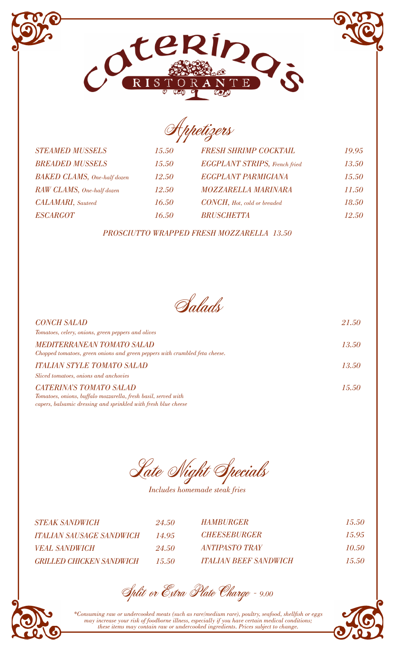## Appetizers

*STEAMED MUSSELS 15.50 BREADED MUSSELS 15.50 BAKED CLAMS, One-half dozen 12.50 RAW CLAMS, One-half dozen 12.50 CALAMARI, Sauteed 16.50 ESCARGOT 16.50*

| 50       | <b>EGGPLANT STRIPS</b> , French fried | <i>13.50</i> |
|----------|---------------------------------------|--------------|
| 50       | <b>EGGPLANT PARMIGIANA</b>            | 15.50        |
| $\Omega$ | <b>MOZZARELLA MARINARA</b>            | 11.50        |
| iΩ       | <b>CONCH</b> , Hot, cold or breaded   | 18.50        |
| 50       | <b>BRUSCHETTA</b>                     | <i>12.50</i> |

**DOS** 

 $F$ 

*FRESH SHRIMP COCKTAIL 19.95*

## *PROSCIUTTO WRAPPED FRESH MOZZARELLA 13.50*

Salads

| <b>CONCH SALAD</b>                                                                                                                                                 | 21.50 |
|--------------------------------------------------------------------------------------------------------------------------------------------------------------------|-------|
| Tomatoes, celery, onions, green peppers and olives                                                                                                                 |       |
| <b>MEDITERRANEAN TOMATO SALAD</b><br>Chopped tomatoes, green onions and green peppers with crumbled feta cheese.                                                   | 13.50 |
| <b>ITALIAN STYLE TOMATO SALAD</b><br>Sliced tomatoes, onions and anchovies                                                                                         | 13.50 |
| <b>CATERINA'S TOMATO SALAD</b><br>Tomatoes, onions, buffalo mozzarella, fresh basil, served with<br>capers, balsamic dressing and sprinkled with fresh blue cheese | 15.50 |

Late Night Specials

*Includes homemade steak fries*

| <i>STEAK SANDWICH</i>           | 24.50 | <i><b>HAMBURGER</b></i>      | -15.50 |
|---------------------------------|-------|------------------------------|--------|
| ITALIAN SAUSAGE SANDWICH        | 14.95 | <b>CHEESERURGER</b>          | 15.95  |
| <i><b>VEAL SANDWICH</b></i>     | 24.50 | <i>ANTIPASTO TRAY</i>        | 10.50  |
| <b>GRILLED CHICKEN SANDWICH</b> | 15.50 | <b>ITALIAN BEEF SANDWICH</b> | 15.50  |

Split or Extra Plate Charge - *9.00*



*\*Consuming raw or undercooked meats (such as rare/medium rare), poultry, seafood, shellfish or eggs may increase your risk of foodborne illness, especially if you have certain medical conditions; these items may contain raw or undercooked ingredients. Prices subject to change.*

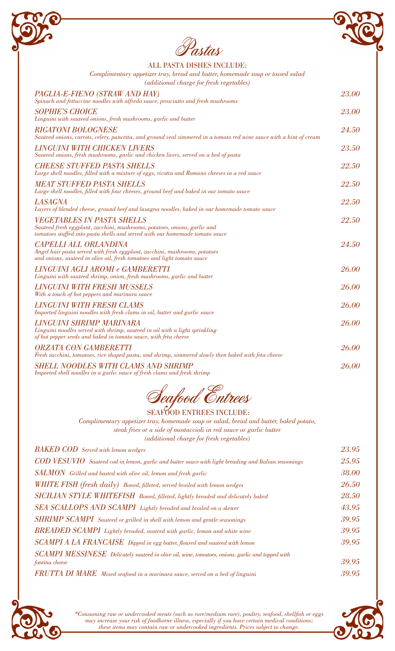

| ALL PASTA DISHES INCLUDE:                                                                                                                                                                      |       |
|------------------------------------------------------------------------------------------------------------------------------------------------------------------------------------------------|-------|
| Complimentary appetizer tray, bread and butter, homemade soup or tossed salad<br>(additional charge for fresh vegetables)                                                                      |       |
| PAGLIA-E-FIENO (STRAW AND HAY)<br>Spinach and fettuccine noodles with alfredo sauce, prosciutto and fresh mushrooms                                                                            | 23.00 |
| <b>SOPHIE'S CHOICE</b><br>Linguini with sauteed onions, fresh mushrooms, garlic and butter                                                                                                     | 23.00 |
| <b>RIGATONI BOLOGNESE</b><br>Sauteed onions, carrots, celery, pancetta, and ground veal simmered in a tomato red wine sauce with a hint of cream                                               | 24.50 |
| <b>LINGUINI WITH CHICKEN LIVERS</b><br>Sauteed onions, fresh mushrooms, garlic and chicken livers, served on a bed of pasta                                                                    | 23.50 |
| <b>CHEESE STUFFED PASTA SHELLS</b><br>Large shell noodles, filled with a mixture of eggs, ricotta and Romano cheeses in a red sauce                                                            | 22.50 |
| <b>MEAT STUFFED PASTA SHELLS</b><br>Large shell noodles, filled with four cheeses, ground beef and baked in our tomato sauce                                                                   | 22.50 |
| <b>LASAGNA</b><br>Layers of blended cheese, ground beef and lasagna noodles, baked in our homemade tomato sauce                                                                                | 22.50 |
| <b>VEGETABLES IN PASTA SHELLS</b><br>Sauteed fresh eggplant, zucchini, mushrooms, potatoes, onions, garlic and<br>tomatoes stuffed into pasta shells and served with our homemade tomato sauce | 22.50 |
| <b>CAPELLI ALL ORLANDINA</b><br>Angel hair pasta served with fresh eggplant, zucchini, mushrooms, potatoes<br>and onions, sauteed in olive oil, fresh tomatoes and light tomato sauce          | 24.50 |
| LINGUINI AGLI AROMI e GAMBERETTI<br>Linguini with sauteed shrimp, onion, fresh mushrooms, garlic and butter                                                                                    | 26.00 |
| <b>LINGUINI WITH FRESH MUSSELS</b><br>With a touch of hot peppers and marinara sauce                                                                                                           | 26.00 |
| <b>LINGUINI WITH FRESH CLAMS</b><br>Imported linguini noodles with fresh clams in oil, butter and garlic sauce                                                                                 | 26.00 |
| LINGUINI SHRIMP MARINARA<br>Linguini noodles served with shrimp, sauteed in oil with a light sprinkling<br>of hot pepper seeds and baked in tomato sauce, with feta cheese                     | 26.00 |
| <b>ORZATA CON GAMBERETTI</b><br>Fresh zucchini, tomatoes, rice shaped pasta, and shrimp, simmered slowly then baked with feta cheese                                                           | 26.00 |
| <b>SHELL NOODLES WITH CLAMS AND SHRIMP</b><br>Imported shell noodles in a garlic sauce of fresh clams and fresh shrimp                                                                         | 26.00 |



## SEAFOOD ENTREES INCLUDE:

*Complimentary appetizer tray, homemade soup or salad, bread and butter, baked potato, steak fries or a side of mostaccioli in red sauce or garlic butter (additional charge for fresh vegetables)*

| <b>BAKED COD</b> Served with lemon wedges                                                            | 23.95 |
|------------------------------------------------------------------------------------------------------|-------|
| COD VESUVIO Sauteed cod in lemon, garlic and butter sauce with light breading and Italian seasonings | 25.95 |
| SALMON Grilled and basted with olive oil, lemon and fresh garlic                                     | 38.00 |
| WHITE FISH (fresh daily) Boned, filleted, served broiled with lemon wedges                           | 26.50 |
| SICILIAN STYLE WHITEFISH Boned, filleted, lightly breaded and delicately baked                       | 28.50 |
| SEA SCALLOPS AND SCAMPI Lightly breaded and broiled on a skewer                                      | 43.95 |
| SHRIMP SCAMPI Sauteed or grilled in shell with lemon and gentle seasonings                           | 39.95 |
| BREADED SCAMPI Lightly breaded, sauteed with garlic, lemon and white wine                            | 39.95 |
| SCAMPI A LA FRANCAISE Dipped in egg batter, floured and sauteed with lemon                           | 39.95 |
| SCAMPI MESSINESE Delicately sauteed in olive oil, wine, tomatoes, onions, garlic and topped with     |       |
| fontina cheese                                                                                       | 39.95 |
| FRUTTA DI MARE Mixed seafood in a marinara sauce, served on a bed of linguini                        | 39.95 |



*\*Consuming raw or undercooked meats (such as rare/medium rare), poultry, seafood, shellfish or eggs may increase your risk of foodborne illness, especially if you have certain medical conditions; these items may contain raw or undercooked ingredients. Prices subject to change.*